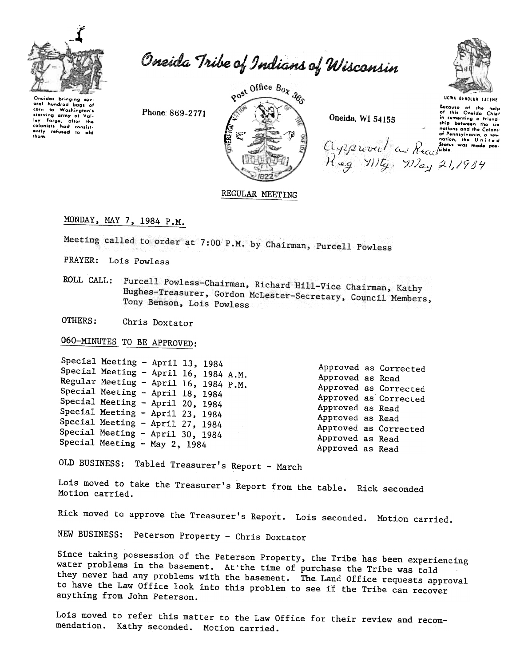

Oneida Tribe of Indians of Wisconsin

Oneidas bringing sov-<br>eral hundred bags of corn to Washington's starving army of Valstativing army of Value<br>Ivy Forge, after the<br>colonists had consist-<br>ently refused to aid<br>them.

Phone: 869-2771





UGWA DENOLUN YATENE UEWA DENOILUN TATENE<br>
Secure of the below<br>
of the Oneida Chief<br>
of the Oneida Chief<br>
of the Oneida Chief<br>
of the Oneida Chief<br>
of the Union and the Colony<br>
of Pennsylvania, a now<br>
of Pennsylvania, a now<br>
of Pennsylvania,

REGULAR MEETING

MONDAY, MAY 7, 1984 P.M.

Meeting called to order at 7:00 P.M. by Chairman, Purcell Powless

PRAYER: Lois Powless

ROLL CALL: Purcell Powless-Chairman, Richard Hill-Vice Chairman, Kathy Hughes-Treasurer, Gordon McLester-Secretary, Council Members, Tony Benson, Lois Powless

OTHERS: Chris Doxtator

060-MINUTES TO BE APPROVED:

Special Meeting - April 13, 1984 Special Meeting - April 16, 1984 A.M. Regular Meeting - April 16, 1984 P.M. Special Meeting - April 18, 1984 Special Meeting - April 20, 1984 Special Meeting - April 23, 1984 Special Meeting - April 27, 1984 Special Meeting - April 30, 1984 Special Meeting - May 2, 1984

Approved as Corrected Approved as Read Approved as Corrected Approved as Corrected Approved as Read Approved as Read Approved as Corrected Approved as Read Approved as Read

OLD BUSINESS: Tabled Treasurer's Report - March

Lois moved to take the Treasurer's Report from the table. Rick seconded Motion carried.

Rick moved to approve the Treasurer's Report. Lois seconded. Motion carried.

NEW BUSINESS: Peterson Property - Chris Doxtator

Since taking possession of the Peterson Property, the Tribe has been experiencing water problems in the basement. At the time of purchase the Tribe was told they never had any problems with the basement. The Land Office requests approval to have the Law Office look into this problem to see if the Tribe can recover anything from John Peterson.

Lois moved to refer this matter to the Law Office for their review and recommendation. Kathy seconded. Motion carried.